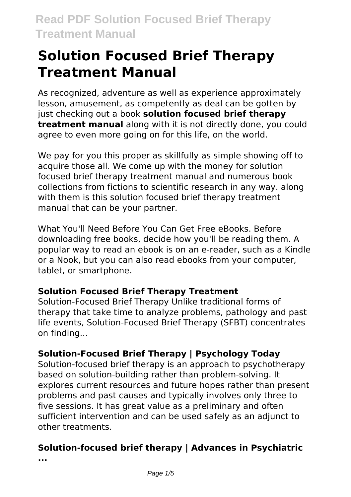As recognized, adventure as well as experience approximately lesson, amusement, as competently as deal can be gotten by just checking out a book **solution focused brief therapy treatment manual** along with it is not directly done, you could agree to even more going on for this life, on the world.

We pay for you this proper as skillfully as simple showing off to acquire those all. We come up with the money for solution focused brief therapy treatment manual and numerous book collections from fictions to scientific research in any way. along with them is this solution focused brief therapy treatment manual that can be your partner.

What You'll Need Before You Can Get Free eBooks. Before downloading free books, decide how you'll be reading them. A popular way to read an ebook is on an e-reader, such as a Kindle or a Nook, but you can also read ebooks from your computer, tablet, or smartphone.

#### **Solution Focused Brief Therapy Treatment**

Solution-Focused Brief Therapy Unlike traditional forms of therapy that take time to analyze problems, pathology and past life events, Solution-Focused Brief Therapy (SFBT) concentrates on finding...

### **Solution-Focused Brief Therapy | Psychology Today**

Solution-focused brief therapy is an approach to psychotherapy based on solution-building rather than problem-solving. It explores current resources and future hopes rather than present problems and past causes and typically involves only three to five sessions. It has great value as a preliminary and often sufficient intervention and can be used safely as an adjunct to other treatments.

# **Solution-focused brief therapy | Advances in Psychiatric**

**...**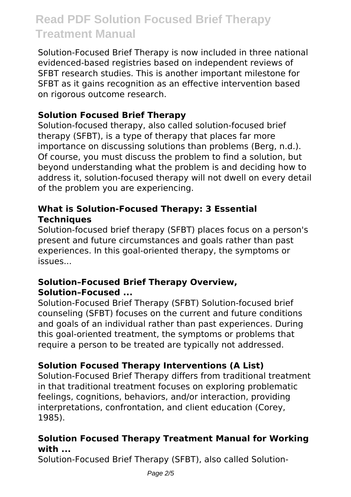Solution-Focused Brief Therapy is now included in three national evidenced-based registries based on independent reviews of SFBT research studies. This is another important milestone for SFBT as it gains recognition as an effective intervention based on rigorous outcome research.

#### **Solution Focused Brief Therapy**

Solution-focused therapy, also called solution-focused brief therapy (SFBT), is a type of therapy that places far more importance on discussing solutions than problems (Berg, n.d.). Of course, you must discuss the problem to find a solution, but beyond understanding what the problem is and deciding how to address it, solution-focused therapy will not dwell on every detail of the problem you are experiencing.

#### **What is Solution-Focused Therapy: 3 Essential Techniques**

Solution-focused brief therapy (SFBT) places focus on a person's present and future circumstances and goals rather than past experiences. In this goal-oriented therapy, the symptoms or issues...

#### **Solution–Focused Brief Therapy Overview, Solution–Focused ...**

Solution-Focused Brief Therapy (SFBT) Solution-focused brief counseling (SFBT) focuses on the current and future conditions and goals of an individual rather than past experiences. During this goal-oriented treatment, the symptoms or problems that require a person to be treated are typically not addressed.

### **Solution Focused Therapy Interventions (A List)**

Solution-Focused Brief Therapy differs from traditional treatment in that traditional treatment focuses on exploring problematic feelings, cognitions, behaviors, and/or interaction, providing interpretations, confrontation, and client education (Corey, 1985).

#### **Solution Focused Therapy Treatment Manual for Working with ...**

Solution-Focused Brief Therapy (SFBT), also called Solution-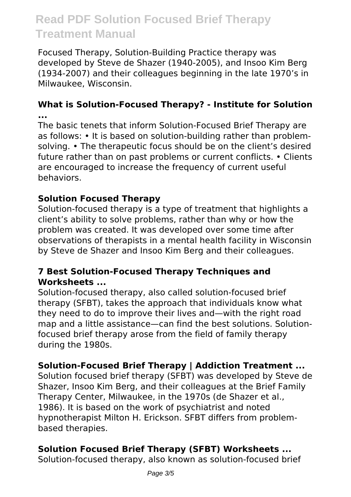Focused Therapy, Solution-Building Practice therapy was developed by Steve de Shazer (1940-2005), and Insoo Kim Berg (1934-2007) and their colleagues beginning in the late 1970's in Milwaukee, Wisconsin.

#### **What is Solution-Focused Therapy? - Institute for Solution ...**

The basic tenets that inform Solution-Focused Brief Therapy are as follows: • It is based on solution-building rather than problemsolving. • The therapeutic focus should be on the client's desired future rather than on past problems or current conflicts. • Clients are encouraged to increase the frequency of current useful behaviors.

#### **Solution Focused Therapy**

Solution-focused therapy is a type of treatment that highlights a client's ability to solve problems, rather than why or how the problem was created. It was developed over some time after observations of therapists in a mental health facility in Wisconsin by Steve de Shazer and Insoo Kim Berg and their colleagues.

#### **7 Best Solution-Focused Therapy Techniques and Worksheets ...**

Solution-focused therapy, also called solution-focused brief therapy (SFBT), takes the approach that individuals know what they need to do to improve their lives and—with the right road map and a little assistance—can find the best solutions. Solutionfocused brief therapy arose from the field of family therapy during the 1980s.

#### **Solution-Focused Brief Therapy | Addiction Treatment ...**

Solution focused brief therapy (SFBT) was developed by Steve de Shazer, Insoo Kim Berg, and their colleagues at the Brief Family Therapy Center, Milwaukee, in the 1970s (de Shazer et al., 1986). It is based on the work of psychiatrist and noted hypnotherapist Milton H. Erickson. SFBT differs from problembased therapies.

#### **Solution Focused Brief Therapy (SFBT) Worksheets ...**

Solution-focused therapy, also known as solution-focused brief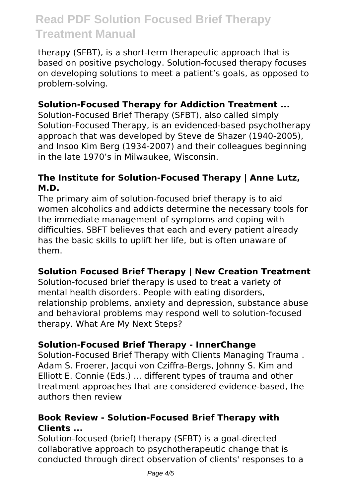therapy (SFBT), is a short-term therapeutic approach that is based on positive psychology. Solution-focused therapy focuses on developing solutions to meet a patient's goals, as opposed to problem-solving.

#### **Solution-Focused Therapy for Addiction Treatment ...**

Solution-Focused Brief Therapy (SFBT), also called simply Solution-Focused Therapy, is an evidenced-based psychotherapy approach that was developed by Steve de Shazer (1940-2005), and Insoo Kim Berg (1934-2007) and their colleagues beginning in the late 1970's in Milwaukee, Wisconsin.

#### **The Institute for Solution-Focused Therapy | Anne Lutz, M.D.**

The primary aim of solution-focused brief therapy is to aid women alcoholics and addicts determine the necessary tools for the immediate management of symptoms and coping with difficulties. SBFT believes that each and every patient already has the basic skills to uplift her life, but is often unaware of them.

#### **Solution Focused Brief Therapy | New Creation Treatment**

Solution-focused brief therapy is used to treat a variety of mental health disorders. People with eating disorders, relationship problems, anxiety and depression, substance abuse and behavioral problems may respond well to solution-focused therapy. What Are My Next Steps?

#### **Solution-Focused Brief Therapy - InnerChange**

Solution-Focused Brief Therapy with Clients Managing Trauma . Adam S. Froerer, Jacqui von Cziffra-Bergs, Johnny S. Kim and Elliott E. Connie (Eds.) ... different types of trauma and other treatment approaches that are considered evidence-based, the authors then review

#### **Book Review - Solution-Focused Brief Therapy with Clients ...**

Solution-focused (brief) therapy (SFBT) is a goal-directed collaborative approach to psychotherapeutic change that is conducted through direct observation of clients' responses to a